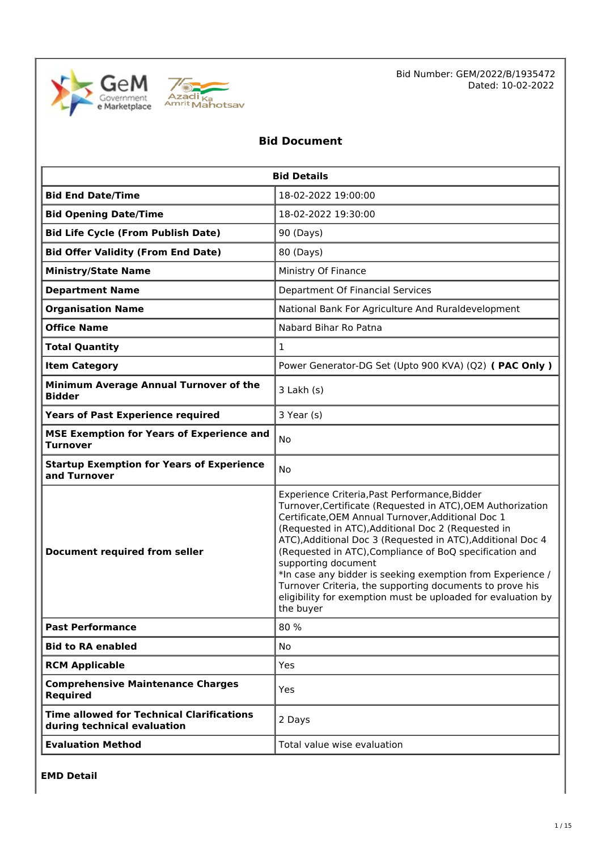



Bid Number: GEM/2022/B/1935472 Dated: 10-02-2022

# **Bid Document**

| <b>Bid Details</b>                                                              |                                                                                                                                                                                                                                                                                                                                                                                                                                                                                                                                                                                  |  |  |  |
|---------------------------------------------------------------------------------|----------------------------------------------------------------------------------------------------------------------------------------------------------------------------------------------------------------------------------------------------------------------------------------------------------------------------------------------------------------------------------------------------------------------------------------------------------------------------------------------------------------------------------------------------------------------------------|--|--|--|
| <b>Bid End Date/Time</b>                                                        | 18-02-2022 19:00:00                                                                                                                                                                                                                                                                                                                                                                                                                                                                                                                                                              |  |  |  |
| <b>Bid Opening Date/Time</b>                                                    | 18-02-2022 19:30:00                                                                                                                                                                                                                                                                                                                                                                                                                                                                                                                                                              |  |  |  |
| <b>Bid Life Cycle (From Publish Date)</b>                                       | 90 (Days)                                                                                                                                                                                                                                                                                                                                                                                                                                                                                                                                                                        |  |  |  |
| <b>Bid Offer Validity (From End Date)</b>                                       | 80 (Days)                                                                                                                                                                                                                                                                                                                                                                                                                                                                                                                                                                        |  |  |  |
| <b>Ministry/State Name</b>                                                      | Ministry Of Finance                                                                                                                                                                                                                                                                                                                                                                                                                                                                                                                                                              |  |  |  |
| <b>Department Name</b>                                                          | Department Of Financial Services                                                                                                                                                                                                                                                                                                                                                                                                                                                                                                                                                 |  |  |  |
| <b>Organisation Name</b>                                                        | National Bank For Agriculture And Ruraldevelopment                                                                                                                                                                                                                                                                                                                                                                                                                                                                                                                               |  |  |  |
| <b>Office Name</b>                                                              | Nabard Bihar Ro Patna                                                                                                                                                                                                                                                                                                                                                                                                                                                                                                                                                            |  |  |  |
| <b>Total Quantity</b>                                                           | $\mathbf{1}$                                                                                                                                                                                                                                                                                                                                                                                                                                                                                                                                                                     |  |  |  |
| <b>Item Category</b>                                                            | Power Generator-DG Set (Upto 900 KVA) (Q2) ( PAC Only )                                                                                                                                                                                                                                                                                                                                                                                                                                                                                                                          |  |  |  |
| Minimum Average Annual Turnover of the<br><b>Bidder</b>                         | 3 Lakh (s)                                                                                                                                                                                                                                                                                                                                                                                                                                                                                                                                                                       |  |  |  |
| <b>Years of Past Experience required</b><br>3 Year (s)                          |                                                                                                                                                                                                                                                                                                                                                                                                                                                                                                                                                                                  |  |  |  |
| <b>MSE Exemption for Years of Experience and</b><br><b>Turnover</b>             | No                                                                                                                                                                                                                                                                                                                                                                                                                                                                                                                                                                               |  |  |  |
| <b>Startup Exemption for Years of Experience</b><br>and Turnover                | <b>No</b>                                                                                                                                                                                                                                                                                                                                                                                                                                                                                                                                                                        |  |  |  |
| <b>Document required from seller</b>                                            | Experience Criteria, Past Performance, Bidder<br>Turnover, Certificate (Requested in ATC), OEM Authorization<br>Certificate, OEM Annual Turnover, Additional Doc 1<br>(Requested in ATC), Additional Doc 2 (Requested in<br>ATC), Additional Doc 3 (Requested in ATC), Additional Doc 4<br>(Requested in ATC), Compliance of BoQ specification and<br>supporting document<br>*In case any bidder is seeking exemption from Experience /<br>Turnover Criteria, the supporting documents to prove his<br>eligibility for exemption must be uploaded for evaluation by<br>the buyer |  |  |  |
| <b>Past Performance</b>                                                         | 80 %                                                                                                                                                                                                                                                                                                                                                                                                                                                                                                                                                                             |  |  |  |
| <b>Bid to RA enabled</b>                                                        | <b>No</b>                                                                                                                                                                                                                                                                                                                                                                                                                                                                                                                                                                        |  |  |  |
| <b>RCM Applicable</b>                                                           | Yes                                                                                                                                                                                                                                                                                                                                                                                                                                                                                                                                                                              |  |  |  |
| <b>Comprehensive Maintenance Charges</b><br><b>Required</b>                     | Yes                                                                                                                                                                                                                                                                                                                                                                                                                                                                                                                                                                              |  |  |  |
| <b>Time allowed for Technical Clarifications</b><br>during technical evaluation | 2 Days                                                                                                                                                                                                                                                                                                                                                                                                                                                                                                                                                                           |  |  |  |
| <b>Evaluation Method</b>                                                        | Total value wise evaluation                                                                                                                                                                                                                                                                                                                                                                                                                                                                                                                                                      |  |  |  |

**EMD Detail**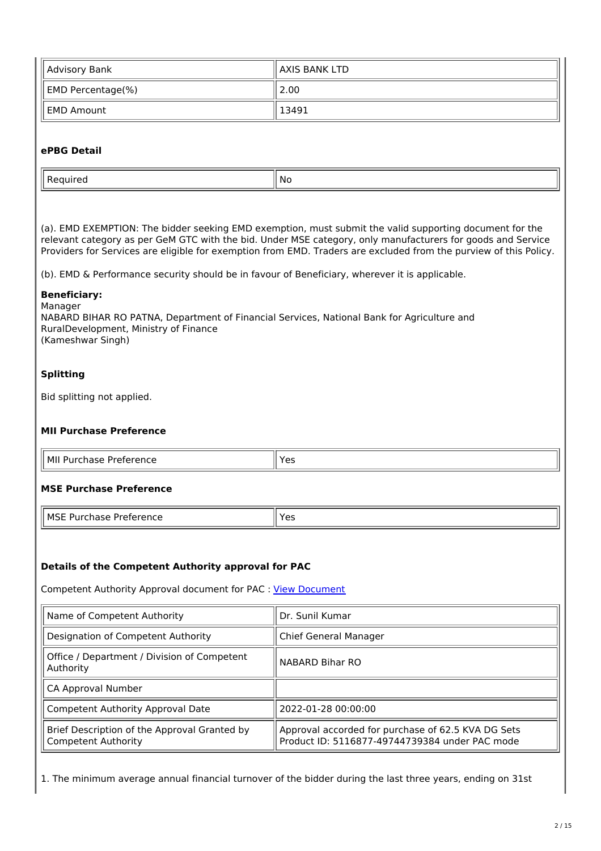| Advisory Bank                 | ll AXIS BANK LTD |
|-------------------------------|------------------|
| $\parallel$ EMD Percentage(%) | 2.00             |
| ll EMD Amount                 | $^{\circ}$ 13491 |

## **ePBG Detail**

| . | N |
|---|---|

(a). EMD EXEMPTION: The bidder seeking EMD exemption, must submit the valid supporting document for the relevant category as per GeM GTC with the bid. Under MSE category, only manufacturers for goods and Service Providers for Services are eligible for exemption from EMD. Traders are excluded from the purview of this Policy.

(b). EMD & Performance security should be in favour of Beneficiary, wherever it is applicable.

#### **Beneficiary:**

Manager NABARD BIHAR RO PATNA, Department of Financial Services, National Bank for Agriculture and RuralDevelopment, Ministry of Finance (Kameshwar Singh)

## **Splitting**

 $\overline{r}$ 

Bid splitting not applied.

## **MII Purchase Preference**

| 'I MIL<br>Preference<br>hase<br>Purch |  |
|---------------------------------------|--|

## **MSE Purchase Preference**

| MSE Purchase Preference | $\parallel$ Yes |
|-------------------------|-----------------|
|-------------------------|-----------------|

## **Details of the Competent Authority approval for PAC**

Competent Authority Approval document for PAC : View Document

| Name of Competent Authority                                                | Dr. Sunil Kumar                                                                                      |  |
|----------------------------------------------------------------------------|------------------------------------------------------------------------------------------------------|--|
| Designation of Competent Authority                                         | Chief General Manager                                                                                |  |
| Office / Department / Division of Competent<br>Authority                   | NABARD Bihar RO                                                                                      |  |
| CA Approval Number                                                         |                                                                                                      |  |
| Competent Authority Approval Date                                          | 2022-01-28 00:00:00                                                                                  |  |
| Brief Description of the Approval Granted by<br><b>Competent Authority</b> | Approval accorded for purchase of 62.5 KVA DG Sets<br>Product ID: 5116877-49744739384 under PAC mode |  |

1. The minimum average annual financial turnover of the bidder during the last three years, ending on 31st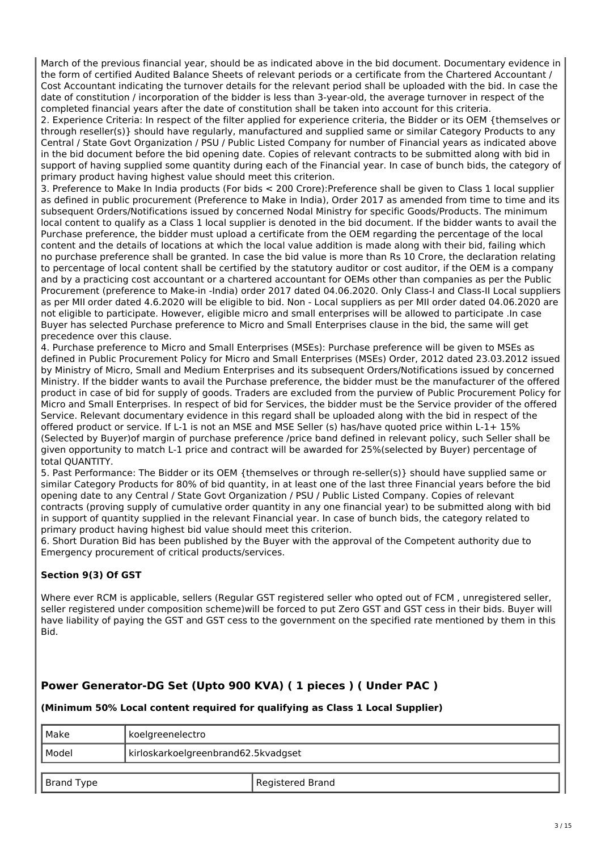March of the previous financial year, should be as indicated above in the bid document. Documentary evidence in the form of certified Audited Balance Sheets of relevant periods or a certificate from the Chartered Accountant / Cost Accountant indicating the turnover details for the relevant period shall be uploaded with the bid. In case the date of constitution / incorporation of the bidder is less than 3-year-old, the average turnover in respect of the completed financial years after the date of constitution shall be taken into account for this criteria.

2. Experience Criteria: In respect of the filter applied for experience criteria, the Bidder or its OEM {themselves or through reseller(s)} should have regularly, manufactured and supplied same or similar Category Products to any Central / State Govt Organization / PSU / Public Listed Company for number of Financial years as indicated above in the bid document before the bid opening date. Copies of relevant contracts to be submitted along with bid in support of having supplied some quantity during each of the Financial year. In case of bunch bids, the category of primary product having highest value should meet this criterion.

3. Preference to Make In India products (For bids < 200 Crore):Preference shall be given to Class 1 local supplier as defined in public procurement (Preference to Make in India), Order 2017 as amended from time to time and its subsequent Orders/Notifications issued by concerned Nodal Ministry for specific Goods/Products. The minimum local content to qualify as a Class 1 local supplier is denoted in the bid document. If the bidder wants to avail the Purchase preference, the bidder must upload a certificate from the OEM regarding the percentage of the local content and the details of locations at which the local value addition is made along with their bid, failing which no purchase preference shall be granted. In case the bid value is more than Rs 10 Crore, the declaration relating to percentage of local content shall be certified by the statutory auditor or cost auditor, if the OEM is a company and by a practicing cost accountant or a chartered accountant for OEMs other than companies as per the Public Procurement (preference to Make-in -India) order 2017 dated 04.06.2020. Only Class-I and Class-II Local suppliers as per MII order dated 4.6.2020 will be eligible to bid. Non - Local suppliers as per MII order dated 04.06.2020 are not eligible to participate. However, eligible micro and small enterprises will be allowed to participate .In case Buyer has selected Purchase preference to Micro and Small Enterprises clause in the bid, the same will get precedence over this clause.

4. Purchase preference to Micro and Small Enterprises (MSEs): Purchase preference will be given to MSEs as defined in Public Procurement Policy for Micro and Small Enterprises (MSEs) Order, 2012 dated 23.03.2012 issued by Ministry of Micro, Small and Medium Enterprises and its subsequent Orders/Notifications issued by concerned Ministry. If the bidder wants to avail the Purchase preference, the bidder must be the manufacturer of the offered product in case of bid for supply of goods. Traders are excluded from the purview of Public Procurement Policy for Micro and Small Enterprises. In respect of bid for Services, the bidder must be the Service provider of the offered Service. Relevant documentary evidence in this regard shall be uploaded along with the bid in respect of the offered product or service. If L-1 is not an MSE and MSE Seller (s) has/have quoted price within L-1+ 15% (Selected by Buyer)of margin of purchase preference /price band defined in relevant policy, such Seller shall be given opportunity to match L-1 price and contract will be awarded for 25%(selected by Buyer) percentage of total QUANTITY.

5. Past Performance: The Bidder or its OEM {themselves or through re-seller(s)} should have supplied same or similar Category Products for 80% of bid quantity, in at least one of the last three Financial years before the bid opening date to any Central / State Govt Organization / PSU / Public Listed Company. Copies of relevant contracts (proving supply of cumulative order quantity in any one financial year) to be submitted along with bid in support of quantity supplied in the relevant Financial year. In case of bunch bids, the category related to primary product having highest bid value should meet this criterion.

6. Short Duration Bid has been published by the Buyer with the approval of the Competent authority due to Emergency procurement of critical products/services.

## **Section 9(3) Of GST**

Where ever RCM is applicable, sellers (Regular GST registered seller who opted out of FCM , unregistered seller, seller registered under composition scheme)will be forced to put Zero GST and GST cess in their bids. Buyer will have liability of paying the GST and GST cess to the government on the specified rate mentioned by them in this Bid.

# **Power Generator-DG Set (Upto 900 KVA) ( 1 pieces ) ( Under PAC )**

## **(Minimum 50% Local content required for qualifying as Class 1 Local Supplier)**

| Make       | koelgreenelectro                    |                  |  |
|------------|-------------------------------------|------------------|--|
| Model      | kirloskarkoelgreenbrand62.5kvadgset |                  |  |
|            |                                     |                  |  |
| Brand Type |                                     | Registered Brand |  |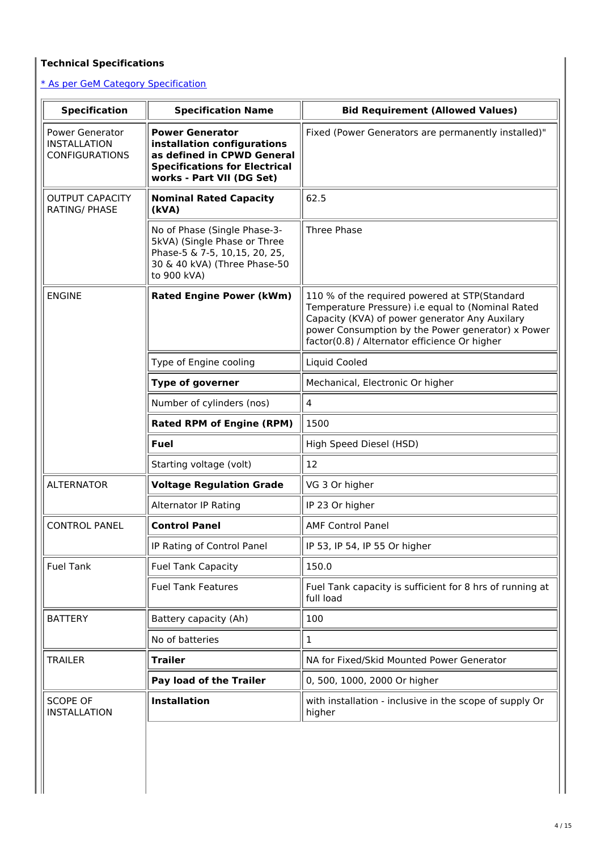# **Technical Specifications**

\* As per GeM Category Specification

| <b>Specification</b>                                                                                                                         | <b>Specification Name</b>                                                                                                                                | <b>Bid Requirement (Allowed Values)</b><br>Fixed (Power Generators are permanently installed)"                                                                                                                                                             |  |  |
|----------------------------------------------------------------------------------------------------------------------------------------------|----------------------------------------------------------------------------------------------------------------------------------------------------------|------------------------------------------------------------------------------------------------------------------------------------------------------------------------------------------------------------------------------------------------------------|--|--|
| <b>Power Generator</b><br><b>INSTALLATION</b><br><b>CONFIGURATIONS</b>                                                                       | <b>Power Generator</b><br>installation configurations<br>as defined in CPWD General<br><b>Specifications for Electrical</b><br>works - Part VII (DG Set) |                                                                                                                                                                                                                                                            |  |  |
| <b>OUTPUT CAPACITY</b><br><b>RATING/ PHASE</b>                                                                                               | <b>Nominal Rated Capacity</b><br>(kVA)                                                                                                                   | 62.5                                                                                                                                                                                                                                                       |  |  |
| No of Phase (Single Phase-3-<br>5kVA) (Single Phase or Three<br>Phase-5 & 7-5, 10,15, 20, 25,<br>30 & 40 kVA) (Three Phase-50<br>to 900 kVA) |                                                                                                                                                          | <b>Three Phase</b>                                                                                                                                                                                                                                         |  |  |
| <b>ENGINE</b><br><b>Rated Engine Power (kWm)</b>                                                                                             |                                                                                                                                                          | 110 % of the required powered at STP(Standard<br>Temperature Pressure) i.e equal to (Nominal Rated<br>Capacity (KVA) of power generator Any Auxilary<br>power Consumption by the Power generator) x Power<br>factor(0.8) / Alternator efficience Or higher |  |  |
|                                                                                                                                              | Type of Engine cooling                                                                                                                                   | Liquid Cooled                                                                                                                                                                                                                                              |  |  |
|                                                                                                                                              | <b>Type of governer</b>                                                                                                                                  | Mechanical, Electronic Or higher                                                                                                                                                                                                                           |  |  |
|                                                                                                                                              | Number of cylinders (nos)                                                                                                                                | $\overline{4}$                                                                                                                                                                                                                                             |  |  |
| <b>Rated RPM of Engine (RPM)</b><br><b>Fuel</b><br>Starting voltage (volt)                                                                   |                                                                                                                                                          | 1500                                                                                                                                                                                                                                                       |  |  |
|                                                                                                                                              |                                                                                                                                                          | High Speed Diesel (HSD)                                                                                                                                                                                                                                    |  |  |
|                                                                                                                                              |                                                                                                                                                          | 12                                                                                                                                                                                                                                                         |  |  |
| <b>ALTERNATOR</b><br><b>Voltage Regulation Grade</b>                                                                                         |                                                                                                                                                          | VG 3 Or higher                                                                                                                                                                                                                                             |  |  |
| <b>Alternator IP Rating</b>                                                                                                                  |                                                                                                                                                          | IP 23 Or higher                                                                                                                                                                                                                                            |  |  |
| <b>CONTROL PANEL</b>                                                                                                                         | <b>Control Panel</b>                                                                                                                                     | <b>AMF Control Panel</b>                                                                                                                                                                                                                                   |  |  |
| IP Rating of Control Panel                                                                                                                   |                                                                                                                                                          | IP 53, IP 54, IP 55 Or higher                                                                                                                                                                                                                              |  |  |
| <b>Fuel Tank</b><br><b>Fuel Tank Capacity</b>                                                                                                |                                                                                                                                                          | 150.0                                                                                                                                                                                                                                                      |  |  |
| <b>Fuel Tank Features</b>                                                                                                                    |                                                                                                                                                          | Fuel Tank capacity is sufficient for 8 hrs of running at<br>full load                                                                                                                                                                                      |  |  |
| <b>BATTERY</b>                                                                                                                               | Battery capacity (Ah)                                                                                                                                    | 100                                                                                                                                                                                                                                                        |  |  |
|                                                                                                                                              | No of batteries                                                                                                                                          | 1                                                                                                                                                                                                                                                          |  |  |
| <b>TRAILER</b>                                                                                                                               | <b>Trailer</b>                                                                                                                                           | NA for Fixed/Skid Mounted Power Generator                                                                                                                                                                                                                  |  |  |
| Pay load of the Trailer                                                                                                                      |                                                                                                                                                          | 0, 500, 1000, 2000 Or higher                                                                                                                                                                                                                               |  |  |
|                                                                                                                                              | <b>Installation</b>                                                                                                                                      | with installation - inclusive in the scope of supply Or                                                                                                                                                                                                    |  |  |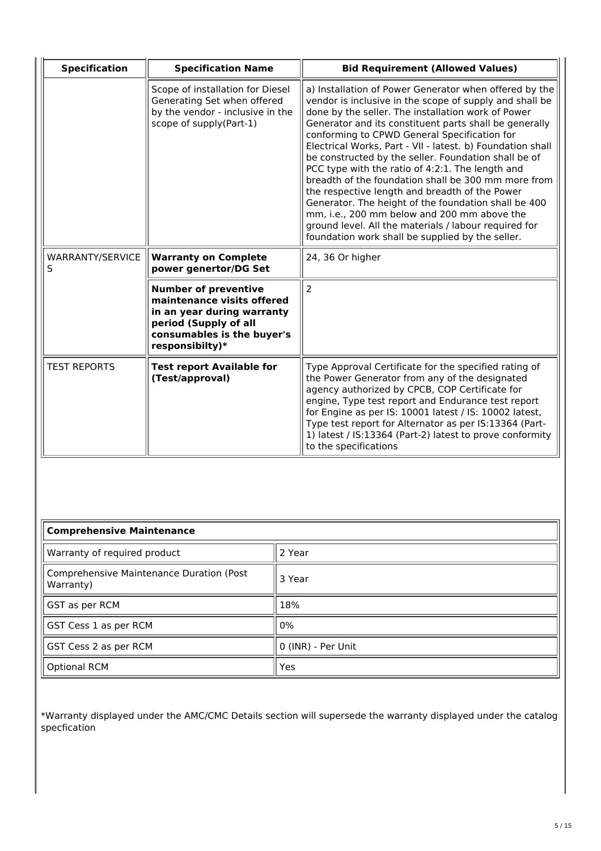| <b>Specification</b>  | <b>Specification Name</b>                                                                                                                                         | <b>Bid Requirement (Allowed Values)</b>                                                                                                                                                                                                                                                                                                                                                                                                                                                                                                                                                                                                                                                                                                                                                  |  |
|-----------------------|-------------------------------------------------------------------------------------------------------------------------------------------------------------------|------------------------------------------------------------------------------------------------------------------------------------------------------------------------------------------------------------------------------------------------------------------------------------------------------------------------------------------------------------------------------------------------------------------------------------------------------------------------------------------------------------------------------------------------------------------------------------------------------------------------------------------------------------------------------------------------------------------------------------------------------------------------------------------|--|
|                       | Scope of installation for Diesel<br>Generating Set when offered<br>by the vendor - inclusive in the<br>scope of supply(Part-1)                                    | a) Installation of Power Generator when offered by the<br>vendor is inclusive in the scope of supply and shall be<br>done by the seller. The installation work of Power<br>Generator and its constituent parts shall be generally<br>conforming to CPWD General Specification for<br>Electrical Works, Part - VII - latest. b) Foundation shall<br>be constructed by the seller. Foundation shall be of<br>PCC type with the ratio of 4:2:1. The length and<br>breadth of the foundation shall be 300 mm more from<br>the respective length and breadth of the Power<br>Generator. The height of the foundation shall be 400<br>mm, i.e., 200 mm below and 200 mm above the<br>ground level. All the materials / labour required for<br>foundation work shall be supplied by the seller. |  |
| WARRANTY/SERVICE<br>S | <b>Warranty on Complete</b><br>power genertor/DG Set                                                                                                              | 24, 36 Or higher                                                                                                                                                                                                                                                                                                                                                                                                                                                                                                                                                                                                                                                                                                                                                                         |  |
|                       | <b>Number of preventive</b><br>maintenance visits offered<br>in an year during warranty<br>period (Supply of all<br>consumables is the buyer's<br>responsibilty)* | $\overline{2}$                                                                                                                                                                                                                                                                                                                                                                                                                                                                                                                                                                                                                                                                                                                                                                           |  |
| <b>TEST REPORTS</b>   | <b>Test report Available for</b><br>(Test/approval)                                                                                                               | Type Approval Certificate for the specified rating of<br>the Power Generator from any of the designated<br>agency authorized by CPCB, COP Certificate for<br>engine, Type test report and Endurance test report<br>for Engine as per IS: 10001 latest / IS: 10002 latest,<br>Type test report for Alternator as per IS:13364 (Part-<br>1) latest / IS:13364 (Part-2) latest to prove conformity<br>to the specifications                                                                                                                                                                                                                                                                                                                                                                 |  |

| <b>Comprehensive Maintenance</b>                      |                    |  |
|-------------------------------------------------------|--------------------|--|
| Warranty of required product                          | 2 Year             |  |
| Comprehensive Maintenance Duration (Post<br>Warranty) | 3 Year             |  |
| GST as per RCM                                        | 18%                |  |
| GST Cess 1 as per RCM                                 | 0%                 |  |
| GST Cess 2 as per RCM                                 | 0 (INR) - Per Unit |  |
| <b>Optional RCM</b>                                   | Yes                |  |

\*Warranty displayed under the AMC/CMC Details section will supersede the warranty displayed under the catalog specfication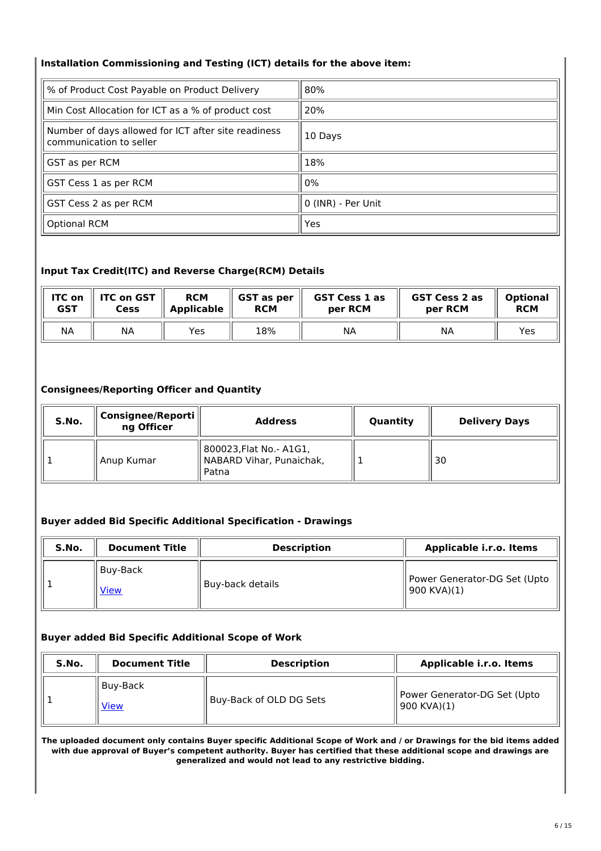## **Installation Commissioning and Testing (ICT) details for the above item:**

| % of Product Cost Payable on Product Delivery                                  | 80%                |
|--------------------------------------------------------------------------------|--------------------|
| Min Cost Allocation for ICT as a % of product cost                             | 20%                |
| Number of days allowed for ICT after site readiness<br>communication to seller | 10 Days            |
| GST as per RCM                                                                 | 18%                |
| GST Cess 1 as per RCM                                                          | $0\%$              |
| GST Cess 2 as per RCM                                                          | 0 (INR) - Per Unit |
| <b>Optional RCM</b>                                                            | Yes                |

## **Input Tax Credit(ITC) and Reverse Charge(RCM) Details**

| <b>ITC on</b> | <b>ITC on GST</b> | <b>RCM</b>        | GST as per | <b>GST Cess 1 as</b> | <b>GST Cess 2 as</b> | <b>Optional</b> |
|---------------|-------------------|-------------------|------------|----------------------|----------------------|-----------------|
| <b>GST</b>    | Cess              | <b>Applicable</b> | <b>RCM</b> | per RCM              | per RCM              | <b>RCM</b>      |
| <b>NA</b>     | ΝA                | Yes               | 18%        | ΝA                   | NA                   | Yes             |

## **Consignees/Reporting Officer and Quantity**

| S.No. | Consignee/Reporti<br>ng Officer | <b>Address</b>                                                | Quantity | <b>Delivery Days</b> |  |
|-------|---------------------------------|---------------------------------------------------------------|----------|----------------------|--|
|       | Anup Kumar                      | 800023, Flat No. - A1G1,<br>NABARD Vihar, Punaichak,<br>Patna |          | 30                   |  |

## **Buyer added Bid Specific Additional Specification - Drawings**

| S.No. | <b>Document Title</b>     | <b>Description</b> | Applicable i.r.o. Items                     |
|-------|---------------------------|--------------------|---------------------------------------------|
|       | l Buv-Back<br><b>View</b> | Buy-back details   | Power Generator-DG Set (Upto<br>900 KVA)(1) |

# **Buyer added Bid Specific Additional Scope of Work**

| S.No. | <b>Document Title</b>   | <b>Description</b>      | Applicable i.r.o. Items                     |  |  |
|-------|-------------------------|-------------------------|---------------------------------------------|--|--|
|       | Buy-Back<br><u>View</u> | Buy-Back of OLD DG Sets | Power Generator-DG Set (Upto<br>900 KVA)(1) |  |  |

The uploaded document only contains Buyer specific Additional Scope of Work and / or Drawings for the bid items added with due approval of Buyer's competent authority. Buyer has certified that these additional scope and drawings are **generalized and would not lead to any restrictive bidding.**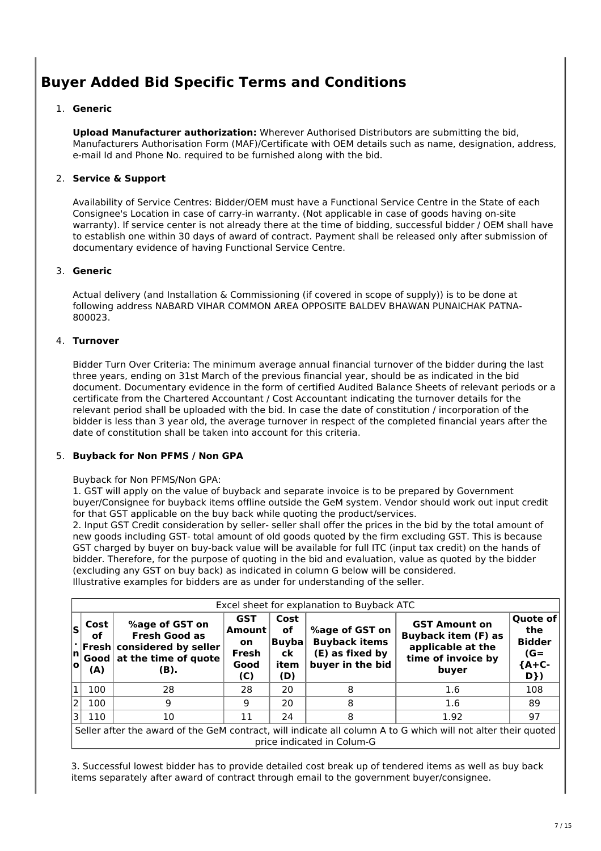# **Buyer Added Bid Specific Terms and Conditions**

## 1. **Generic**

**Upload Manufacturer authorization:** Wherever Authorised Distributors are submitting the bid, Manufacturers Authorisation Form (MAF)/Certificate with OEM details such as name, designation, address, e-mail Id and Phone No. required to be furnished along with the bid.

## 2. **Service & Support**

Availability of Service Centres: Bidder/OEM must have a Functional Service Centre in the State of each Consignee's Location in case of carry-in warranty. (Not applicable in case of goods having on-site warranty). If service center is not already there at the time of bidding, successful bidder / OEM shall have to establish one within 30 days of award of contract. Payment shall be released only after submission of documentary evidence of having Functional Service Centre.

## 3. **Generic**

Actual delivery (and Installation & Commissioning (if covered in scope of supply)) is to be done at following address NABARD VIHAR COMMON AREA OPPOSITE BALDEV BHAWAN PUNAICHAK PATNA-800023.

## 4. **Turnover**

Bidder Turn Over Criteria: The minimum average annual financial turnover of the bidder during the last three years, ending on 31st March of the previous financial year, should be as indicated in the bid document. Documentary evidence in the form of certified Audited Balance Sheets of relevant periods or a certificate from the Chartered Accountant / Cost Accountant indicating the turnover details for the relevant period shall be uploaded with the bid. In case the date of constitution / incorporation of the bidder is less than 3 year old, the average turnover in respect of the completed financial years after the date of constitution shall be taken into account for this criteria.

## 5. **Buyback for Non PFMS / Non GPA**

#### Buyback for Non PFMS/Non GPA:

1. GST will apply on the value of buyback and separate invoice is to be prepared by Government buyer/Consignee for buyback items offline outside the GeM system. Vendor should work out input credit for that GST applicable on the buy back while quoting the product/services.

2. Input GST Credit consideration by seller- seller shall offer the prices in the bid by the total amount of new goods including GST- total amount of old goods quoted by the firm excluding GST. This is because GST charged by buyer on buy-back value will be available for full ITC (input tax credit) on the hands of bidder. Therefore, for the purpose of quoting in the bid and evaluation, value as quoted by the bidder (excluding any GST on buy back) as indicated in column G below will be considered. Illustrative examples for bidders are as under for understanding of the seller.

|                | Excel sheet for explanation to Buyback ATC                                                                                                  |                                                                                                |                                                           |                                           |                                                                               |                                                                                                        |                                                              |  |
|----------------|---------------------------------------------------------------------------------------------------------------------------------------------|------------------------------------------------------------------------------------------------|-----------------------------------------------------------|-------------------------------------------|-------------------------------------------------------------------------------|--------------------------------------------------------------------------------------------------------|--------------------------------------------------------------|--|
| s<br> n <br>lo | Cost<br>οf<br>Fresh<br>Good<br>(A)                                                                                                          | %age of GST on<br><b>Fresh Good as</b><br>considered by seller<br>at the time of quote<br>(B). | <b>GST</b><br>Amount<br><b>on</b><br>Fresh<br>Good<br>(C) | Cost<br>οf<br>Buvba<br>ck.<br>item<br>(D) | %age of GST on<br><b>Buyback items</b><br>(E) as fixed by<br>buyer in the bid | <b>GST Amount on</b><br><b>Buyback item (F) as</b><br>applicable at the<br>time of invoice by<br>buyer | Quote of<br>the<br><b>Bidder</b><br>$(G =$<br>${A+C-$<br>D}) |  |
| 1              | 100                                                                                                                                         | 28                                                                                             | 28                                                        | 20                                        | 8                                                                             | 1.6                                                                                                    | 108                                                          |  |
| 2              | 100                                                                                                                                         | 9                                                                                              | 9                                                         | 20                                        | 8                                                                             | 1.6                                                                                                    | 89                                                           |  |
| 3              | 110                                                                                                                                         | 10                                                                                             | 11                                                        | 24                                        | 8                                                                             | 1.92                                                                                                   | 97                                                           |  |
|                | Seller after the award of the GeM contract, will indicate all column A to G which will not alter their quoted<br>price indicated in Colum-G |                                                                                                |                                                           |                                           |                                                                               |                                                                                                        |                                                              |  |

3. Successful lowest bidder has to provide detailed cost break up of tendered items as well as buy back items separately after award of contract through email to the government buyer/consignee.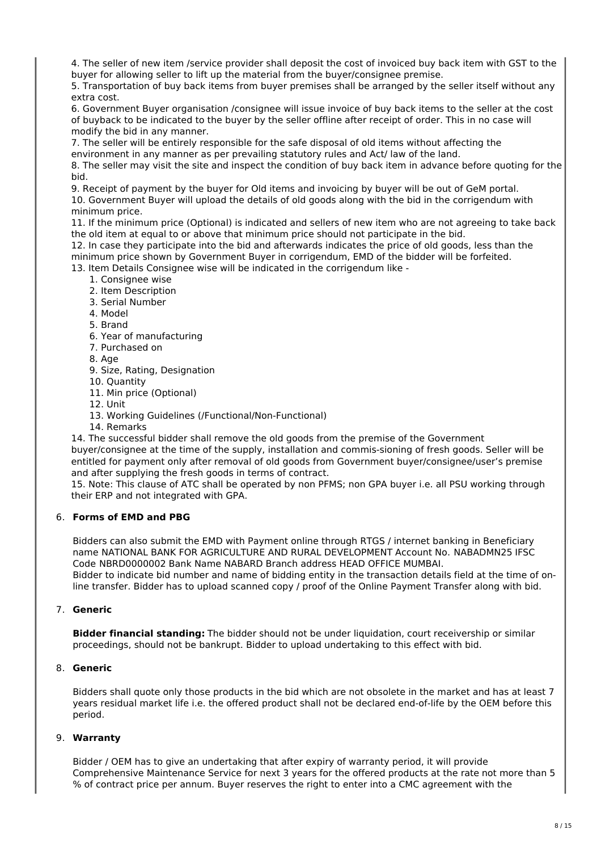4. The seller of new item /service provider shall deposit the cost of invoiced buy back item with GST to the buyer for allowing seller to lift up the material from the buyer/consignee premise.

5. Transportation of buy back items from buyer premises shall be arranged by the seller itself without any extra cost.

6. Government Buyer organisation /consignee will issue invoice of buy back items to the seller at the cost of buyback to be indicated to the buyer by the seller offline after receipt of order. This in no case will modify the bid in any manner.

7. The seller will be entirely responsible for the safe disposal of old items without affecting the environment in any manner as per prevailing statutory rules and Act/ law of the land.

8. The seller may visit the site and inspect the condition of buy back item in advance before quoting for the bid.

9. Receipt of payment by the buyer for Old items and invoicing by buyer will be out of GeM portal.

10. Government Buyer will upload the details of old goods along with the bid in the corrigendum with minimum price.

11. If the minimum price (Optional) is indicated and sellers of new item who are not agreeing to take back the old item at equal to or above that minimum price should not participate in the bid.

12. In case they participate into the bid and afterwards indicates the price of old goods, less than the minimum price shown by Government Buyer in corrigendum, EMD of the bidder will be forfeited.

13. Item Details Consignee wise will be indicated in the corrigendum like -

- 1. Consignee wise
- 2. Item Description
- 3. Serial Number
- 4. Model
- 5. Brand
- 6. Year of manufacturing
- 7. Purchased on
- 8. Age
- 9. Size, Rating, Designation
- 10. Quantity
- 11. Min price (Optional)
- 12. Unit
- 13. Working Guidelines (/Functional/Non-Functional)
- 14. Remarks

14. The successful bidder shall remove the old goods from the premise of the Government buyer/consignee at the time of the supply, installation and commis-sioning of fresh goods. Seller will be entitled for payment only after removal of old goods from Government buyer/consignee/user's premise and after supplying the fresh goods in terms of contract.

15. Note: This clause of ATC shall be operated by non PFMS; non GPA buyer i.e. all PSU working through their ERP and not integrated with GPA.

## 6. **Forms of EMD and PBG**

Bidders can also submit the EMD with Payment online through RTGS / internet banking in Beneficiary name NATIONAL BANK FOR AGRICULTURE AND RURAL DEVELOPMENT Account No. NABADMN25 IFSC Code NBRD0000002 Bank Name NABARD Branch address HEAD OFFICE MUMBAI. Bidder to indicate bid number and name of bidding entity in the transaction details field at the time of online transfer. Bidder has to upload scanned copy / proof of the Online Payment Transfer along with bid.

#### 7. **Generic**

**Bidder financial standing:** The bidder should not be under liquidation, court receivership or similar proceedings, should not be bankrupt. Bidder to upload undertaking to this effect with bid.

#### 8. **Generic**

Bidders shall quote only those products in the bid which are not obsolete in the market and has at least 7 years residual market life i.e. the offered product shall not be declared end-of-life by the OEM before this period.

## 9. **Warranty**

Bidder / OEM has to give an undertaking that after expiry of warranty period, it will provide Comprehensive Maintenance Service for next 3 years for the offered products at the rate not more than 5 % of contract price per annum. Buyer reserves the right to enter into a CMC agreement with the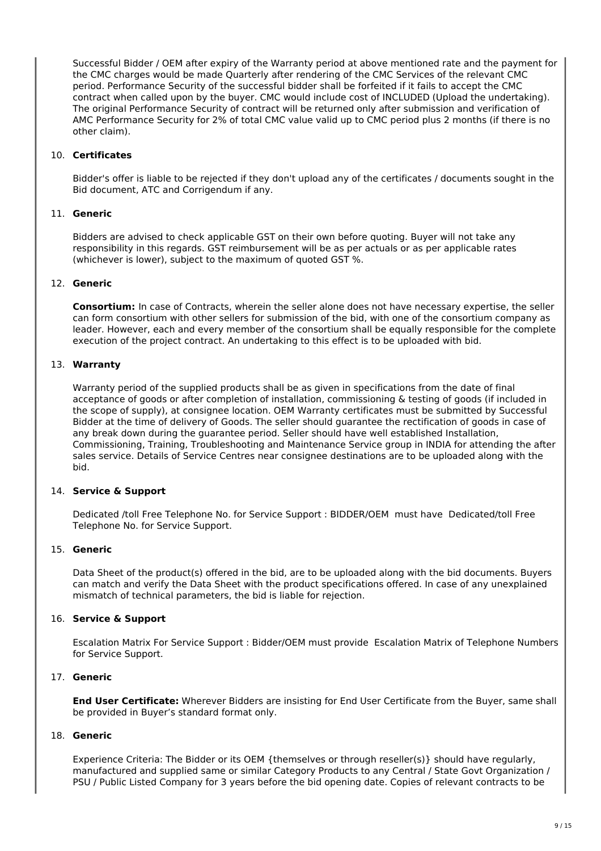Successful Bidder / OEM after expiry of the Warranty period at above mentioned rate and the payment for the CMC charges would be made Quarterly after rendering of the CMC Services of the relevant CMC period. Performance Security of the successful bidder shall be forfeited if it fails to accept the CMC contract when called upon by the buyer. CMC would include cost of INCLUDED (Upload the undertaking). The original Performance Security of contract will be returned only after submission and verification of AMC Performance Security for 2% of total CMC value valid up to CMC period plus 2 months (if there is no other claim).

## 10. **Certificates**

Bidder's offer is liable to be rejected if they don't upload any of the certificates / documents sought in the Bid document, ATC and Corrigendum if any.

## 11. **Generic**

Bidders are advised to check applicable GST on their own before quoting. Buyer will not take any responsibility in this regards. GST reimbursement will be as per actuals or as per applicable rates (whichever is lower), subject to the maximum of quoted GST %.

## 12. **Generic**

**Consortium:** In case of Contracts, wherein the seller alone does not have necessary expertise, the seller can form consortium with other sellers for submission of the bid, with one of the consortium company as leader. However, each and every member of the consortium shall be equally responsible for the complete execution of the project contract. An undertaking to this effect is to be uploaded with bid.

## 13. **Warranty**

Warranty period of the supplied products shall be as given in specifications from the date of final acceptance of goods or after completion of installation, commissioning & testing of goods (if included in the scope of supply), at consignee location. OEM Warranty certificates must be submitted by Successful Bidder at the time of delivery of Goods. The seller should guarantee the rectification of goods in case of any break down during the guarantee period. Seller should have well established Installation, Commissioning, Training, Troubleshooting and Maintenance Service group in INDIA for attending the after sales service. Details of Service Centres near consignee destinations are to be uploaded along with the bid.

#### 14. **Service & Support**

Dedicated /toll Free Telephone No. for Service Support : BIDDER/OEM must have Dedicated/toll Free Telephone No. for Service Support.

## 15. **Generic**

Data Sheet of the product(s) offered in the bid, are to be uploaded along with the bid documents. Buyers can match and verify the Data Sheet with the product specifications offered. In case of any unexplained mismatch of technical parameters, the bid is liable for rejection.

## 16. **Service & Support**

Escalation Matrix For Service Support : Bidder/OEM must provide Escalation Matrix of Telephone Numbers for Service Support.

#### 17. **Generic**

**End User Certificate:** Wherever Bidders are insisting for End User Certificate from the Buyer, same shall be provided in Buyer's standard format only.

## 18. **Generic**

Experience Criteria: The Bidder or its OEM {themselves or through reseller(s)} should have regularly, manufactured and supplied same or similar Category Products to any Central / State Govt Organization / PSU / Public Listed Company for 3 years before the bid opening date. Copies of relevant contracts to be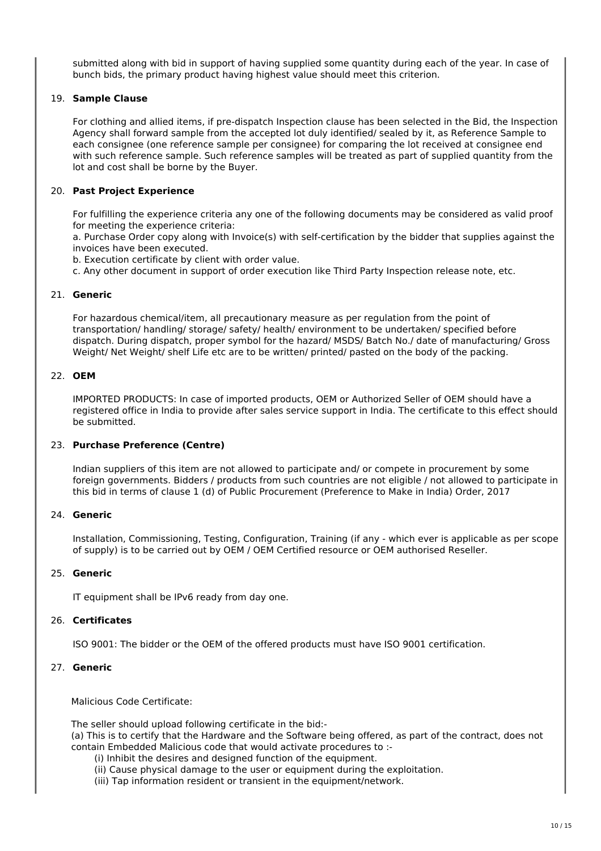submitted along with bid in support of having supplied some quantity during each of the year. In case of bunch bids, the primary product having highest value should meet this criterion.

## 19. **Sample Clause**

For clothing and allied items, if pre-dispatch Inspection clause has been selected in the Bid, the Inspection Agency shall forward sample from the accepted lot duly identified/ sealed by it, as Reference Sample to each consignee (one reference sample per consignee) for comparing the lot received at consignee end with such reference sample. Such reference samples will be treated as part of supplied quantity from the lot and cost shall be borne by the Buyer.

## 20. **Past Project Experience**

For fulfilling the experience criteria any one of the following documents may be considered as valid proof for meeting the experience criteria:

a. Purchase Order copy along with Invoice(s) with self-certification by the bidder that supplies against the invoices have been executed.

b. Execution certificate by client with order value.

c. Any other document in support of order execution like Third Party Inspection release note, etc.

#### 21. **Generic**

For hazardous chemical/item, all precautionary measure as per regulation from the point of transportation/ handling/ storage/ safety/ health/ environment to be undertaken/ specified before dispatch. During dispatch, proper symbol for the hazard/ MSDS/ Batch No./ date of manufacturing/ Gross Weight/ Net Weight/ shelf Life etc are to be written/ printed/ pasted on the body of the packing.

## 22. **OEM**

IMPORTED PRODUCTS: In case of imported products, OEM or Authorized Seller of OEM should have a registered office in India to provide after sales service support in India. The certificate to this effect should be submitted.

#### 23. **Purchase Preference (Centre)**

Indian suppliers of this item are not allowed to participate and/ or compete in procurement by some foreign governments. Bidders / products from such countries are not eligible / not allowed to participate in this bid in terms of clause 1 (d) of Public Procurement (Preference to Make in India) Order, 2017

## 24. **Generic**

Installation, Commissioning, Testing, Configuration, Training (if any - which ever is applicable as per scope of supply) is to be carried out by OEM / OEM Certified resource or OEM authorised Reseller.

#### 25. **Generic**

IT equipment shall be IPv6 ready from day one.

#### 26. **Certificates**

ISO 9001: The bidder or the OEM of the offered products must have ISO 9001 certification.

#### 27. **Generic**

Malicious Code Certificate:

The seller should upload following certificate in the bid:- (a) This is to certify that the Hardware and the Software being offered, as part of the contract, does not contain Embedded Malicious code that would activate procedures to :-

- (i) Inhibit the desires and designed function of the equipment.
- (ii) Cause physical damage to the user or equipment during the exploitation.
- (iii) Tap information resident or transient in the equipment/network.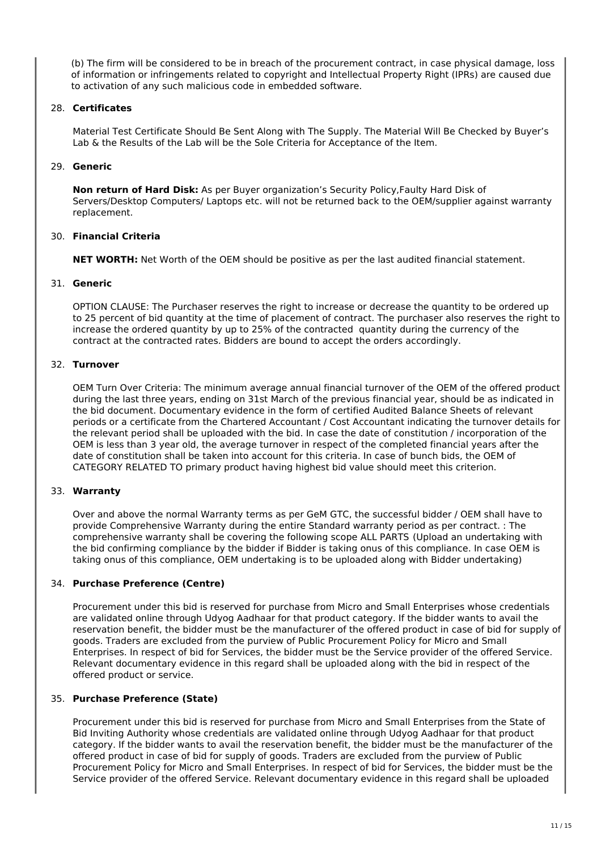(b) The firm will be considered to be in breach of the procurement contract, in case physical damage, loss of information or infringements related to copyright and Intellectual Property Right (IPRs) are caused due to activation of any such malicious code in embedded software.

## 28. **Certificates**

Material Test Certificate Should Be Sent Along with The Supply. The Material Will Be Checked by Buyer's Lab & the Results of the Lab will be the Sole Criteria for Acceptance of the Item.

## 29. **Generic**

**Non return of Hard Disk:** As per Buyer organization's Security Policy,Faulty Hard Disk of Servers/Desktop Computers/ Laptops etc. will not be returned back to the OEM/supplier against warranty replacement.

## 30. **Financial Criteria**

**NET WORTH:** Net Worth of the OEM should be positive as per the last audited financial statement.

## 31. **Generic**

OPTION CLAUSE: The Purchaser reserves the right to increase or decrease the quantity to be ordered up to 25 percent of bid quantity at the time of placement of contract. The purchaser also reserves the right to increase the ordered quantity by up to 25% of the contracted quantity during the currency of the contract at the contracted rates. Bidders are bound to accept the orders accordingly.

## 32. **Turnover**

OEM Turn Over Criteria: The minimum average annual financial turnover of the OEM of the offered product during the last three years, ending on 31st March of the previous financial year, should be as indicated in the bid document. Documentary evidence in the form of certified Audited Balance Sheets of relevant periods or a certificate from the Chartered Accountant / Cost Accountant indicating the turnover details for the relevant period shall be uploaded with the bid. In case the date of constitution / incorporation of the OEM is less than 3 year old, the average turnover in respect of the completed financial years after the date of constitution shall be taken into account for this criteria. In case of bunch bids, the OEM of CATEGORY RELATED TO primary product having highest bid value should meet this criterion.

#### 33. **Warranty**

Over and above the normal Warranty terms as per GeM GTC, the successful bidder / OEM shall have to provide Comprehensive Warranty during the entire Standard warranty period as per contract. : The comprehensive warranty shall be covering the following scope ALL PARTS (Upload an undertaking with the bid confirming compliance by the bidder if Bidder is taking onus of this compliance. In case OEM is taking onus of this compliance, OEM undertaking is to be uploaded along with Bidder undertaking)

## 34. **Purchase Preference (Centre)**

Procurement under this bid is reserved for purchase from Micro and Small Enterprises whose credentials are validated online through Udyog Aadhaar for that product category. If the bidder wants to avail the reservation benefit, the bidder must be the manufacturer of the offered product in case of bid for supply of goods. Traders are excluded from the purview of Public Procurement Policy for Micro and Small Enterprises. In respect of bid for Services, the bidder must be the Service provider of the offered Service. Relevant documentary evidence in this regard shall be uploaded along with the bid in respect of the offered product or service.

#### 35. **Purchase Preference (State)**

Procurement under this bid is reserved for purchase from Micro and Small Enterprises from the State of Bid Inviting Authority whose credentials are validated online through Udyog Aadhaar for that product category. If the bidder wants to avail the reservation benefit, the bidder must be the manufacturer of the offered product in case of bid for supply of goods. Traders are excluded from the purview of Public Procurement Policy for Micro and Small Enterprises. In respect of bid for Services, the bidder must be the Service provider of the offered Service. Relevant documentary evidence in this regard shall be uploaded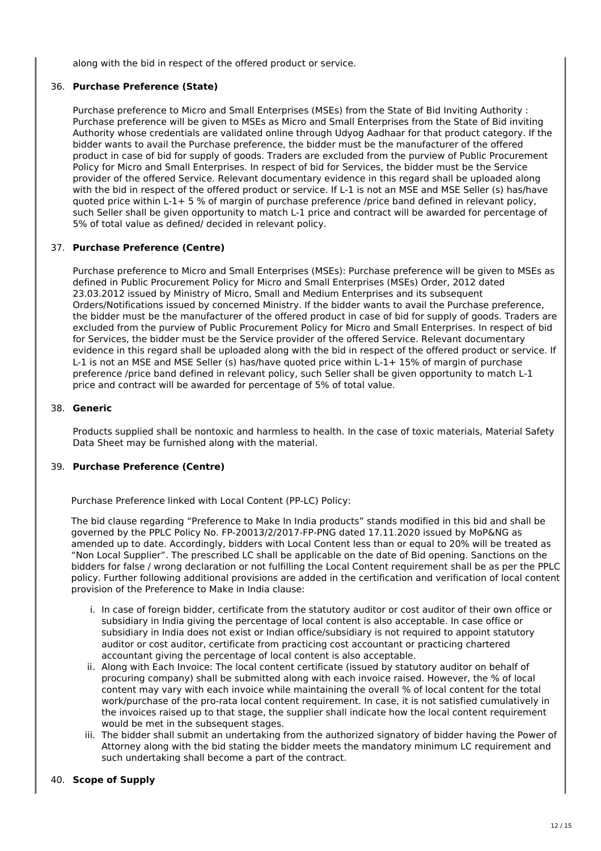along with the bid in respect of the offered product or service.

## 36. **Purchase Preference (State)**

Purchase preference to Micro and Small Enterprises (MSEs) from the State of Bid Inviting Authority : Purchase preference will be given to MSEs as Micro and Small Enterprises from the State of Bid inviting Authority whose credentials are validated online through Udyog Aadhaar for that product category. If the bidder wants to avail the Purchase preference, the bidder must be the manufacturer of the offered product in case of bid for supply of goods. Traders are excluded from the purview of Public Procurement Policy for Micro and Small Enterprises. In respect of bid for Services, the bidder must be the Service provider of the offered Service. Relevant documentary evidence in this regard shall be uploaded along with the bid in respect of the offered product or service. If L-1 is not an MSE and MSE Seller (s) has/have quoted price within L-1+ 5 % of margin of purchase preference /price band defined in relevant policy, such Seller shall be given opportunity to match L-1 price and contract will be awarded for percentage of 5% of total value as defined/ decided in relevant policy.

## 37. **Purchase Preference (Centre)**

Purchase preference to Micro and Small Enterprises (MSEs): Purchase preference will be given to MSEs as defined in Public Procurement Policy for Micro and Small Enterprises (MSEs) Order, 2012 dated 23.03.2012 issued by Ministry of Micro, Small and Medium Enterprises and its subsequent Orders/Notifications issued by concerned Ministry. If the bidder wants to avail the Purchase preference, the bidder must be the manufacturer of the offered product in case of bid for supply of goods. Traders are excluded from the purview of Public Procurement Policy for Micro and Small Enterprises. In respect of bid for Services, the bidder must be the Service provider of the offered Service. Relevant documentary evidence in this regard shall be uploaded along with the bid in respect of the offered product or service. If L-1 is not an MSE and MSE Seller (s) has/have quoted price within L-1+ 15% of margin of purchase preference /price band defined in relevant policy, such Seller shall be given opportunity to match L-1 price and contract will be awarded for percentage of 5% of total value.

#### 38. **Generic**

Products supplied shall be nontoxic and harmless to health. In the case of toxic materials, Material Safety Data Sheet may be furnished along with the material.

#### 39. **Purchase Preference (Centre)**

Purchase Preference linked with Local Content (PP-LC) Policy:

The bid clause regarding "Preference to Make In India products" stands modified in this bid and shall be governed by the PPLC Policy No. FP-20013/2/2017-FP-PNG dated 17.11.2020 issued by MoP&NG as amended up to date. Accordingly, bidders with Local Content less than or equal to 20% will be treated as "Non Local Supplier". The prescribed LC shall be applicable on the date of Bid opening. Sanctions on the bidders for false / wrong declaration or not fulfilling the Local Content requirement shall be as per the PPLC policy. Further following additional provisions are added in the certification and verification of local content provision of the Preference to Make in India clause:

- i. In case of foreign bidder, certificate from the statutory auditor or cost auditor of their own office or subsidiary in India giving the percentage of local content is also acceptable. In case office or subsidiary in India does not exist or Indian office/subsidiary is not required to appoint statutory auditor or cost auditor, certificate from practicing cost accountant or practicing chartered accountant giving the percentage of local content is also acceptable.
- ii. Along with Each Invoice: The local content certificate (issued by statutory auditor on behalf of procuring company) shall be submitted along with each invoice raised. However, the % of local content may vary with each invoice while maintaining the overall % of local content for the total work/purchase of the pro-rata local content requirement. In case, it is not satisfied cumulatively in the invoices raised up to that stage, the supplier shall indicate how the local content requirement would be met in the subsequent stages.
- iii. The bidder shall submit an undertaking from the authorized signatory of bidder having the Power of Attorney along with the bid stating the bidder meets the mandatory minimum LC requirement and such undertaking shall become a part of the contract.

#### 40. **Scope of Supply**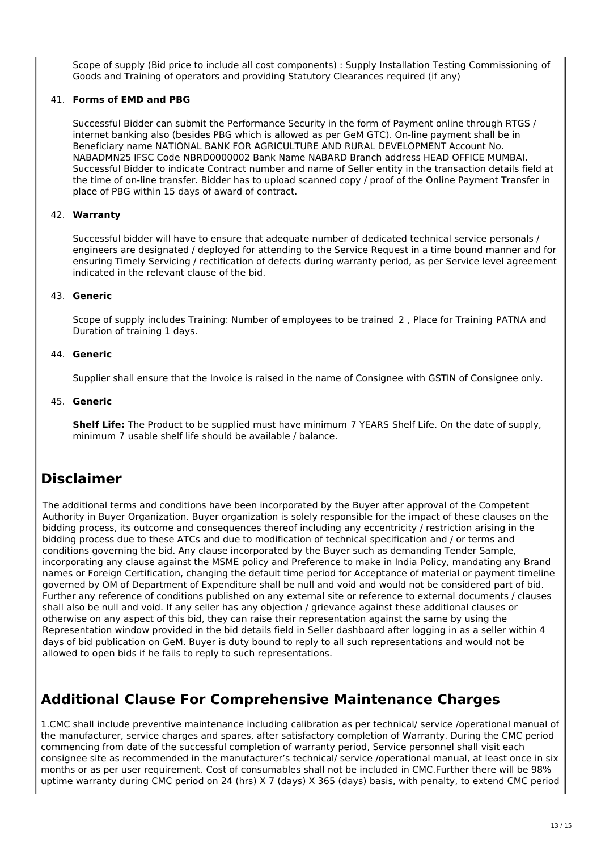Scope of supply (Bid price to include all cost components) : Supply Installation Testing Commissioning of Goods and Training of operators and providing Statutory Clearances required (if any)

## 41. **Forms of EMD and PBG**

Successful Bidder can submit the Performance Security in the form of Payment online through RTGS / internet banking also (besides PBG which is allowed as per GeM GTC). On-line payment shall be in Beneficiary name NATIONAL BANK FOR AGRICULTURE AND RURAL DEVELOPMENT Account No. NABADMN25 IFSC Code NBRD0000002 Bank Name NABARD Branch address HEAD OFFICE MUMBAI. Successful Bidder to indicate Contract number and name of Seller entity in the transaction details field at the time of on-line transfer. Bidder has to upload scanned copy / proof of the Online Payment Transfer in place of PBG within 15 days of award of contract.

#### 42. **Warranty**

Successful bidder will have to ensure that adequate number of dedicated technical service personals / engineers are designated / deployed for attending to the Service Request in a time bound manner and for ensuring Timely Servicing / rectification of defects during warranty period, as per Service level agreement indicated in the relevant clause of the bid.

#### 43. **Generic**

Scope of supply includes Training: Number of employees to be trained 2 , Place for Training PATNA and Duration of training 1 days.

#### 44. **Generic**

Supplier shall ensure that the Invoice is raised in the name of Consignee with GSTIN of Consignee only.

#### 45. **Generic**

**Shelf Life:** The Product to be supplied must have minimum 7 YEARS Shelf Life. On the date of supply, minimum 7 usable shelf life should be available / balance.

# **Disclaimer**

The additional terms and conditions have been incorporated by the Buyer after approval of the Competent Authority in Buyer Organization. Buyer organization is solely responsible for the impact of these clauses on the bidding process, its outcome and consequences thereof including any eccentricity / restriction arising in the bidding process due to these ATCs and due to modification of technical specification and / or terms and conditions governing the bid. Any clause incorporated by the Buyer such as demanding Tender Sample, incorporating any clause against the MSME policy and Preference to make in India Policy, mandating any Brand names or Foreign Certification, changing the default time period for Acceptance of material or payment timeline governed by OM of Department of Expenditure shall be null and void and would not be considered part of bid. Further any reference of conditions published on any external site or reference to external documents / clauses shall also be null and void. If any seller has any objection / grievance against these additional clauses or otherwise on any aspect of this bid, they can raise their representation against the same by using the Representation window provided in the bid details field in Seller dashboard after logging in as a seller within 4 days of bid publication on GeM. Buyer is duty bound to reply to all such representations and would not be allowed to open bids if he fails to reply to such representations.

# **Additional Clause For Comprehensive Maintenance Charges**

1.CMC shall include preventive maintenance including calibration as per technical/ service /operational manual of the manufacturer, service charges and spares, after satisfactory completion of Warranty. During the CMC period commencing from date of the successful completion of warranty period, Service personnel shall visit each consignee site as recommended in the manufacturer's technical/ service /operational manual, at least once in six months or as per user requirement. Cost of consumables shall not be included in CMC.Further there will be 98% uptime warranty during CMC period on 24 (hrs) X 7 (days) X 365 (days) basis, with penalty, to extend CMC period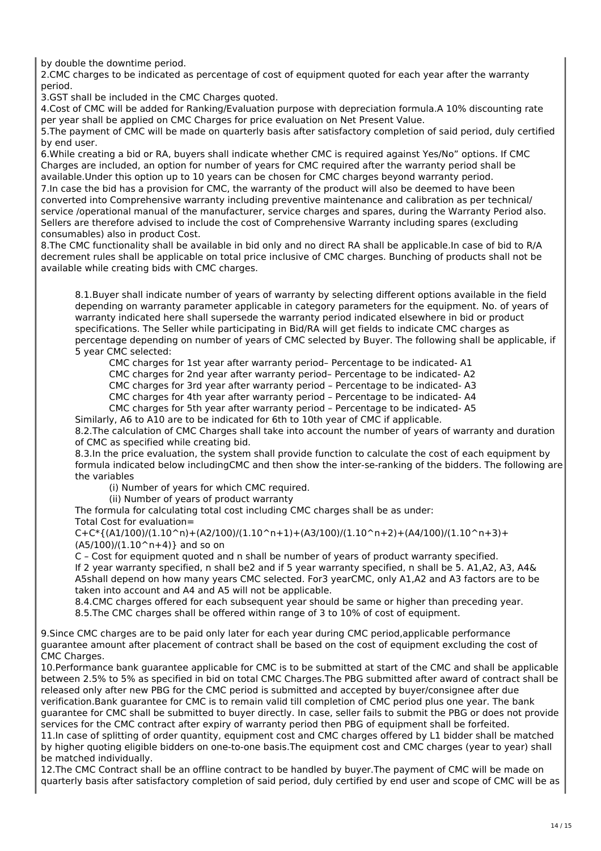by double the downtime period.

2.CMC charges to be indicated as percentage of cost of equipment quoted for each year after the warranty period.

3.GST shall be included in the CMC Charges quoted.

4.Cost of CMC will be added for Ranking/Evaluation purpose with depreciation formula.A 10% discounting rate per year shall be applied on CMC Charges for price evaluation on Net Present Value.

5.The payment of CMC will be made on quarterly basis after satisfactory completion of said period, duly certified by end user.

6.While creating a bid or RA, buyers shall indicate whether CMC is required against Yes/No" options. If CMC Charges are included, an option for number of years for CMC required after the warranty period shall be available.Under this option up to 10 years can be chosen for CMC charges beyond warranty period.

7.In case the bid has a provision for CMC, the warranty of the product will also be deemed to have been converted into Comprehensive warranty including preventive maintenance and calibration as per technical/ service /operational manual of the manufacturer, service charges and spares, during the Warranty Period also. Sellers are therefore advised to include the cost of Comprehensive Warranty including spares (excluding consumables) also in product Cost.

8.The CMC functionality shall be available in bid only and no direct RA shall be applicable.In case of bid to R/A decrement rules shall be applicable on total price inclusive of CMC charges. Bunching of products shall not be available while creating bids with CMC charges.

8.1.Buyer shall indicate number of years of warranty by selecting different options available in the field depending on warranty parameter applicable in category parameters for the equipment. No. of years of warranty indicated here shall supersede the warranty period indicated elsewhere in bid or product specifications. The Seller while participating in Bid/RA will get fields to indicate CMC charges as percentage depending on number of years of CMC selected by Buyer. The following shall be applicable, if 5 year CMC selected:

CMC charges for 1st year after warranty period– Percentage to be indicated- A1

CMC charges for 2nd year after warranty period– Percentage to be indicated- A2

CMC charges for 3rd year after warranty period – Percentage to be indicated- A3

CMC charges for 4th year after warranty period – Percentage to be indicated- A4

CMC charges for 5th year after warranty period – Percentage to be indicated- A5

Similarly, A6 to A10 are to be indicated for 6th to 10th year of CMC if applicable.

8.2.The calculation of CMC Charges shall take into account the number of years of warranty and duration of CMC as specified while creating bid.

8.3.In the price evaluation, the system shall provide function to calculate the cost of each equipment by formula indicated below includingCMC and then show the inter-se-ranking of the bidders. The following are the variables

(i) Number of years for which CMC required.

(ii) Number of years of product warranty

The formula for calculating total cost including CMC charges shall be as under:

Total Cost for evaluation=

 $C+C*(A1/100)/(1.10^n)+(A2/100)/(1.10^n+1)+(A3/100)/(1.10^n+2)+(A4/100)/(1.10^n+3)+(A5/100)/(1.10^n+3)$  $(A5/100)/(1.10^n+4)$ } and so on

C – Cost for equipment quoted and n shall be number of years of product warranty specified.

If 2 year warranty specified, n shall be2 and if 5 year warranty specified, n shall be 5. A1,A2, A3, A4& A5shall depend on how many years CMC selected. For3 yearCMC, only A1,A2 and A3 factors are to be taken into account and A4 and A5 will not be applicable.

8.4.CMC charges offered for each subsequent year should be same or higher than preceding year. 8.5.The CMC charges shall be offered within range of 3 to 10% of cost of equipment.

9.Since CMC charges are to be paid only later for each year during CMC period,applicable performance guarantee amount after placement of contract shall be based on the cost of equipment excluding the cost of CMC Charges.

10.Performance bank guarantee applicable for CMC is to be submitted at start of the CMC and shall be applicable between 2.5% to 5% as specified in bid on total CMC Charges.The PBG submitted after award of contract shall be released only after new PBG for the CMC period is submitted and accepted by buyer/consignee after due verification.Bank guarantee for CMC is to remain valid till completion of CMC period plus one year. The bank guarantee for CMC shall be submitted to buyer directly. In case, seller fails to submit the PBG or does not provide services for the CMC contract after expiry of warranty period then PBG of equipment shall be forfeited. 11.In case of splitting of order quantity, equipment cost and CMC charges offered by L1 bidder shall be matched by higher quoting eligible bidders on one-to-one basis.The equipment cost and CMC charges (year to year) shall be matched individually.

12.The CMC Contract shall be an offline contract to be handled by buyer.The payment of CMC will be made on quarterly basis after satisfactory completion of said period, duly certified by end user and scope of CMC will be as